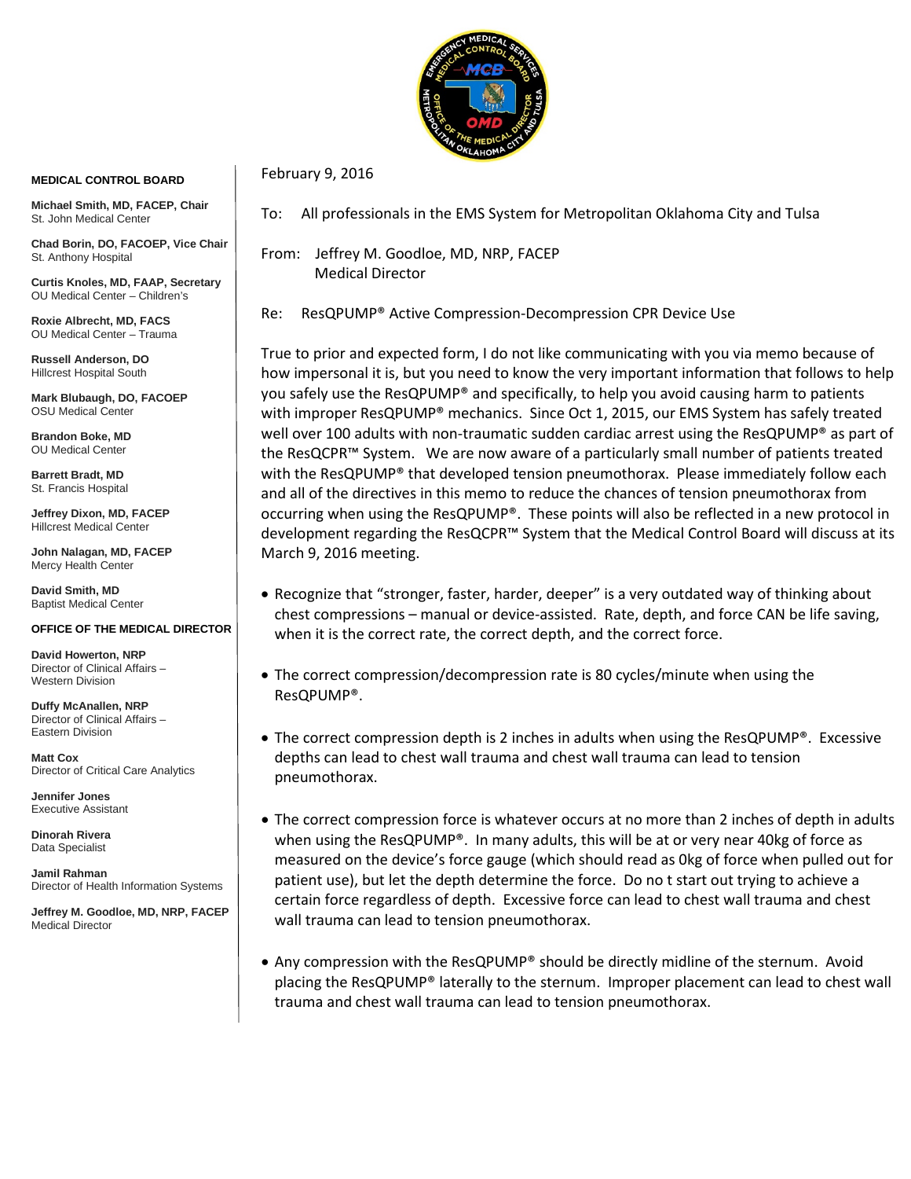

## **MEDICAL CONTROL BOARD**

**Michael Smith, MD, FACEP, Chair** St. John Medical Center

**Chad Borin, DO, FACOEP, Vice Chair**  St. Anthony Hospital

**Curtis Knoles, MD, FAAP, Secretary** OU Medical Center – Children's

**Roxie Albrecht, MD, FACS** OU Medical Center – Trauma

**Russell Anderson, DO** Hillcrest Hospital South

**Mark Blubaugh, DO, FACOEP** OSU Medical Center

**Brandon Boke, MD** OU Medical Center

**Barrett Bradt, MD** St. Francis Hospital

**Jeffrey Dixon, MD, FACEP** Hillcrest Medical Center

**John Nalagan, MD, FACEP** Mercy Health Center

**David Smith, MD** Baptist Medical Center

## **OFFICE OF THE MEDICAL DIRECTOR**

**David Howerton, NRP** Director of Clinical Affairs – Western Division

**Duffy McAnallen, NRP** Director of Clinical Affairs – Eastern Division

**Matt Cox** Director of Critical Care Analytics

**Jennifer Jones** Executive Assistant

**Dinorah Rivera** Data Specialist

**Jamil Rahman** Director of Health Information Systems

**Jeffrey M. Goodloe, MD, NRP, FACEP** Medical Director

To: All professionals in the EMS System for Metropolitan Oklahoma City and Tulsa

From: Jeffrey M. Goodloe, MD, NRP, FACEP Medical Director

February 9, 2016

Re: ResQPUMP® Active Compression-Decompression CPR Device Use

True to prior and expected form, I do not like communicating with you via memo because of how impersonal it is, but you need to know the very important information that follows to help you safely use the ResQPUMP® and specifically, to help you avoid causing harm to patients with improper ResQPUMP® mechanics. Since Oct 1, 2015, our EMS System has safely treated well over 100 adults with non-traumatic sudden cardiac arrest using the ResQPUMP® as part of the ResQCPR™ System. We are now aware of a particularly small number of patients treated with the ResQPUMP® that developed tension pneumothorax. Please immediately follow each and all of the directives in this memo to reduce the chances of tension pneumothorax from occurring when using the ResQPUMP®. These points will also be reflected in a new protocol in development regarding the ResQCPR™ System that the Medical Control Board will discuss at its March 9, 2016 meeting.

- Recognize that "stronger, faster, harder, deeper" is a very outdated way of thinking about chest compressions – manual or device-assisted. Rate, depth, and force CAN be life saving, when it is the correct rate, the correct depth, and the correct force.
- The correct compression/decompression rate is 80 cycles/minute when using the ResQPUMP®.
- The correct compression depth is 2 inches in adults when using the ResQPUMP®. Excessive depths can lead to chest wall trauma and chest wall trauma can lead to tension pneumothorax.
- The correct compression force is whatever occurs at no more than 2 inches of depth in adults when using the ResQPUMP®. In many adults, this will be at or very near 40kg of force as measured on the device's force gauge (which should read as 0kg of force when pulled out for patient use), but let the depth determine the force. Do no t start out trying to achieve a certain force regardless of depth. Excessive force can lead to chest wall trauma and chest wall trauma can lead to tension pneumothorax.
- Any compression with the ResQPUMP® should be directly midline of the sternum. Avoid placing the ResQPUMP® laterally to the sternum. Improper placement can lead to chest wall trauma and chest wall trauma can lead to tension pneumothorax.